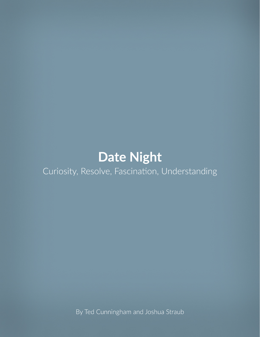# **Date Night** Curiosity, Resolve, Fascination, Understanding

By Ted Cunningham and Joshua Straub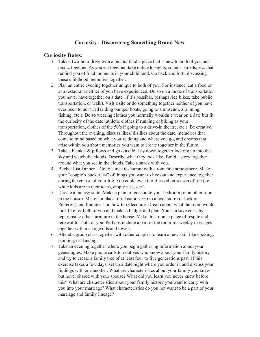# **Curiosity - Discovering Something Brand New**

#### **Curiosity Dates:**

- 1. Take a two-hour drive with a picnic. Find a place that is new to both of you and picnic together. As you eat together, take notice to sights, sounds, smells, etc. that remind you of fond moments in your childhood. Go back and forth discussing these childhood memories together.
- 2. Plan an entire evening together unique to both of you. For instance, eat a food or at a restaurant neither of you have experienced. Do so on a mode of transportation you never have together on a date (if it's possible, perhaps ride bikes, take public transportation, or walk). Visit a site or do something together neither of you have ever been to nor tried (riding bumper boats, going to a museum, zip lining, fishing, etc.). Do so wearing clothes you normally wouldn't wear on a date but fit the curiosity of the date (athletic clothes if running or biking as your transportation, clothes of the 50's if going to a drive-in theatre, etc.). Be creative. Throughout the evening, discuss likes/ dislikes about the date, memories that come to mind based on what you're doing and where you go, and dreams that arise within you about memories you want to create together in the future.
- 3. Take a blanket  $\&$  pillows and go outside. Lay down together looking up into the sky and watch the clouds. Describe what they look like. Build a story together around what you see in the clouds. Take a snack with you.
- 4. Bucket List Dinner—Go to a nice restaurant with a romantic atmosphere. Make your "couple's bucket list" of things you want to live out and experience together during the course of your life. You could even tier it based on season of life (i.e. while kids are in their teens, empty nest, etc.).
- 5. Create a fantasy suite. Make a plan to redecorate your bedroom (or another room in the house). Make it a place of relaxation. Go to a bookstore (or look on Pinterest) and find ideas on how to redecorate. Dream about what the room would look like for both of you and make a budget and plan. You can save costs by repurposing other furniture in the house. Make this room a place of respite and renewal for both of you. Perhaps include a part of the room for weekly massages together with massage oils and towels.
- 6. Attend a group class together with other couples to learn a new skill like cooking, painting, or dancing.
- 7. Take an evening together where you begin gathering information about your genealogies. Make phone calls to relatives who know about your family history and try to create a family tree of at least four to five generations past. If this exercise takes a few days, set up a date night where you order in and discuss your findings with one another. What are characteristics about your family you knew but never shared with your spouse? What did you learn you never knew before this? What are characteristics about your family history you want to carry with you into your marriage? What characteristics do you not want to be a part of your marriage and family lineage?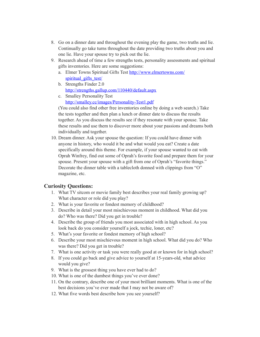- 8. Go on a dinner date and throughout the evening play the game, two truths and lie. Continually go take turns throughout the date providing two truths about you and one lie. Have your spouse try to pick out the lie.
- 9. Research ahead of time a few strengths tests, personality assessments and spiritual gifts inventories. Here are some suggestions:
	- a. Elmer Towns Spiritual Gifts Test http://www.elmertowns.com/ spiritual gifts test/
	- b. Strengths Finder 2.0 http://strengths.gallup.com/110440/default.aspx
	- c. Smalley Personality Test http://smalley.cc/images/Personality-Test1.pdf

(You could also find other free inventories online by doing a web search.) Take the tests together and then plan a lunch or dinner date to discuss the results together. As you discuss the results see if they resonate with your spouse. Take these results and use them to discover more about your passions and dreams both individually and together.

10. Dream dinner. Ask your spouse the question: If you could have dinner with anyone in history, who would it be and what would you eat? Create a date specifically around this theme. For example, if your spouse wanted to eat with Oprah Winfrey, find out some of Oprah's favorite food and prepare them for your spouse. Present your spouse with a gift from one of Oprah's "favorite things." Decorate the dinner table with a tablecloth donned with clippings from "O" magazine, etc.

# **Curiosity Questions:**

- 1. What TV sitcom or movie family best describes your real family growing up? What character or role did you play?
- 2. What is your favorite or fondest memory of childhood?
- 3. Describe in detail your most mischievous moment in childhood. What did you do? Who was there? Did you get in trouble?
- 4. Describe the group of friends you most associated with in high school. As you look back do you consider yourself a jock, techie, loner, etc?
- 5. What's your favorite or fondest memory of high school?
- 6. Describe your most mischievous moment in high school. What did you do? Who was there? Did you get in trouble?
- 7. What is one activity or task you were really good at or known for in high school?
- 8. If you could go back and give advice to yourself at 15-years-old, what advice would you give?
- 9. What is the grossest thing you have ever had to do?
- 10. What is one of the dumbest things you've ever done?
- 11. On the contrary, describe one of your most brilliant moments. What is one of the best decisions you've ever made that I may not be aware of?
- 12. What five words best describe how you see yourself?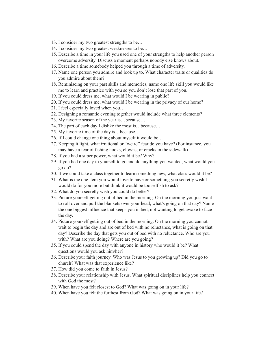- 13. I consider my two greatest strengths to be…
- 14. I consider my two greatest weaknesses to be…
- 15. Describe a time in your life you used one of your strengths to help another person overcome adversity. Discuss a moment perhaps nobody else knows about.
- 16. Describe a time somebody helped you through a time of adversity.
- 17. Name one person you admire and look up to. What character traits or qualities do you admire about them?
- 18. Reminiscing on your past skills and memories, name one life skill you would like me to learn and practice with you so you don't lose that part of you.
- 19. If you could dress me, what would I be wearing in public?
- 20. If you could dress me, what would I be wearing in the privacy of our home?
- 21. I feel especially loved when you…
- 22. Designing a romantic evening together would include what three elements?
- 23. My favorite season of the year is…because…
- 24. The part of each day I dislike the most is…because…
- 25. My favorite time of the day is…because…
- 26. If I could change one thing about myself it would be…
- 27. Keeping it light, what irrational or "weird" fear do you have? (For instance, you may have a fear of fishing hooks, clowns, or cracks in the sidewalk)
- 28. If you had a super power, what would it be? Why?
- 29. If you had one day to yourself to go and do anything you wanted, what would you go do?
- 30. If we could take a class together to learn something new, what class would it be?
- 31. What is the one item you would love to have or something you secretly wish I would do for you more but think it would be too selfish to ask?
- 32. What do you secretly wish you could do better?
- 33. Picture yourself getting out of bed in the morning. On the morning you just want to roll over and pull the blankets over your head, what's going on that day? Name the one biggest influence that keeps you in bed, not wanting to get awake to face the day.
- 34. Picture yourself getting out of bed in the morning. On the morning you cannot wait to begin the day and are out of bed with no reluctance, what is going on that day? Describe the day that gets you out of bed with no reluctance. Who are you with? What are you doing? Where are you going?
- 35. If you could spend the day with anyone in history who would it be? What questions would you ask him/her?
- 36. Describe your faith journey. Who was Jesus to you growing up? Did you go to church? What was that experience like?
- 37. How did you come to faith in Jesus?
- 38. Describe your relationship with Jesus. What spiritual disciplines help you connect with God the most?
- 39. When have you felt closest to God? What was going on in your life?
- 40. When have you felt the furthest from God? What was going on in your life?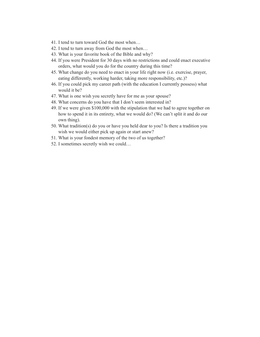- 41. I tend to turn toward God the most when…
- 42. I tend to turn away from God the most when…
- 43. What is your favorite book of the Bible and why?
- 44. If you were President for 30 days with no restrictions and could enact executive orders, what would you do for the country during this time?
- 45. What change do you need to enact in your life right now (i.e. exercise, prayer, eating differently, working harder, taking more responsibility, etc.)?
- 46. If you could pick my career path (with the education I currently possess) what would it be?
- 47. What is one wish you secretly have for me as your spouse?
- 48. What concerns do you have that I don't seem interested in?
- 49. If we were given \$100,000 with the stipulation that we had to agree together on how to spend it in its entirety, what we would do? (We can't split it and do our own thing).
- 50. What tradition(s) do you or have you held dear to you? Is there a tradition you wish we would either pick up again or start anew?
- 51. What is your fondest memory of the two of us together?
- 52. I sometimes secretly wish we could…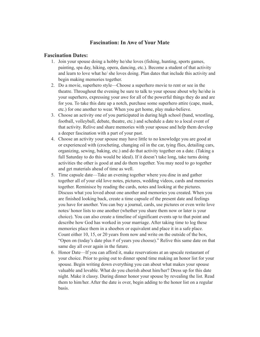# **Fascination: In Awe of Your Mate**

#### **Fascination Dates:**

- 1. Join your spouse doing a hobby he/she loves (fishing, hunting, sports games, painting, spa day, hiking, opera, dancing, etc.). Become a student of that activity and learn to love what he/ she loves doing. Plan dates that include this activity and begin making memories together.
- 2. Do a movie, superhero style—Choose a superhero movie to rent or see in the theatre. Throughout the evening be sure to talk to your spouse about why he/she is your superhero, expressing your awe for all of the powerful things they do and are for you. To take this date up a notch, purchase some superhero attire (cape, mask, etc.) for one another to wear. When you get home, play make-believe.
- 3. Choose an activity one of you participated in during high school (band, wrestling, football, volleyball, debate, theatre, etc.) and schedule a date to a local event of that activity. Relive and share memories with your spouse and help them develop a deeper fascination with a part of your past.
- 4. Choose an activity your spouse may have little to no knowledge you are good at or experienced with (crocheting, changing oil in the car, tying flies, detailing cars, organizing, sewing, baking, etc.) and do that activity together on a date. (Taking a full Saturday to do this would be ideal). If it doesn't take long, take turns doing activities the other is good at and do them together. You may need to go together and get materials ahead of time as well.
- 5. Time capsule date—Take an evening together where you dine in and gather together all of your old love notes, pictures, wedding videos, cards and memories together. Reminisce by reading the cards, notes and looking at the pictures. Discuss what you loved about one another and memories you created. When you are finished looking back, create a time capsule of the present date and feelings you have for another. You can buy a journal, cards, use pictures or even write love notes/ honor lists to one another (whether you share them now or later is your choice). You can also create a timeline of significant events up to that point and describe how God has worked in your marriage. After taking time to log these memories place them in a shoebox or equivalent and place it in a safe place. Count either 10, 15, or 20 years from now and write on the outside of the box, "Open on (today's date plus # of years you choose)." Relive this same date on that same day all over again in the future.
- 6. Honor Date—If you can afford it, make reservations at an upscale restaurant of your choice. Prior to going out to dinner spend time making an honor list for your spouse. Begin writing down everything you can about what makes your spouse valuable and lovable. What do you cherish about him/her? Dress up for this date night. Make it classy. During dinner honor your spouse by revealing the list. Read them to him/her. After the date is over, begin adding to the honor list on a regular basis.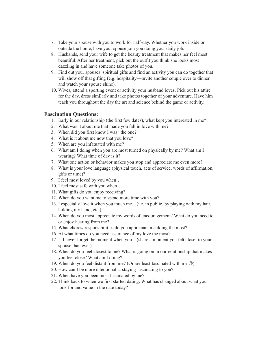- 7. Take your spouse with you to work for half-day. Whether you work inside or outside the home, have your spouse join you doing your daily job.
- 8. Husbands, send your wife to get the beauty treatment that makes her feel most beautiful. After her treatment, pick out the outfit you think she looks most dazzling in and have someone take photos of you.
- 9. Find out your spouses' spiritual gifts and find an activity you can do together that will show off that gifting (e.g. hospitality—invite another couple over to dinner and watch your spouse shine).
- 10. Wives, attend a sporting event or activity your husband loves. Pick out his attire for the day, dress similarly and take photos together of your adventure. Have him teach you throughout the day the art and science behind the game or activity.

#### **Fascination Questions:**

- 1. Early in our relationship (the first few dates), what kept you interested in me?
- 2. What was it about me that made you fall in love with me?
- 3. When did you first know I was "the one?"
- 4. What is it about me now that you love?
- 5. When are you infatuated with me?
- 6. What am I doing when you are most turned on physically by me? What am I wearing? What time of day is it?
- 7. What one action or behavior makes you stop and appreciate me even more?
- 8. What is your love language (physical touch, acts of service, words of affirmation, gifts or time)?
- 9. I feel most loved by you when…
- 10. I feel most safe with you when…
- 11. What gifts do you enjoy receiving?
- 12. When do you want me to spend more time with you?
- 13. I especially love it when you touch me…(i.e. in public, by playing with my hair, holding my hand, etc.)
- 14. When do you most appreciate my words of encouragement? What do you need to or enjoy hearing from me?
- 15. What chores/ responsibilities do you appreciate me doing the most?
- 16. At what times do you need assurance of my love the most?
- 17. I'll never forget the moment when you…(share a moment you felt closer to your spouse than ever).
- 18. When do you feel closest to me? What is going on in our relationship that makes you feel close? What am I doing?
- 19. When do you feel distant from me? (Or are least fascinated with me  $\circledcirc$ )
- 20. How can I be more intentional at staying fascinating to you?
- 21. When have you been most fascinated by me?
- 22. Think back to when we first started dating. What has changed about what you look for and value in the date today?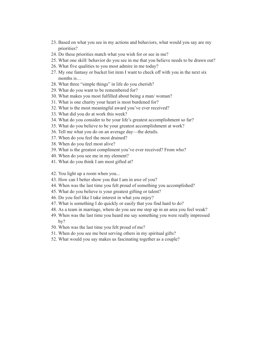- 23. Based on what you see in my actions and behaviors, what would you say are my priorities?
- 24. Do these priorities match what you wish for or see in me?
- 25. What one skill/ behavior do you see in me that you believe needs to be drawn out?
- 26. What five qualities to you most admire in me today?
- 27. My one fantasy or bucket list item I want to check off with you in the next six months is...
- 28. What three "simple things" in life do you cherish?
- 29. What do you want to be remembered for?
- 30. What makes you most fulfilled about being a man/ woman?
- 31. What is one charity your heart is most burdened for?
- 32. What is the most meaningful award you've ever received?
- 33. What did you do at work this week?
- 34. What do you consider to be your life's greatest accomplishment so far?
- 35. What do you believe to be your greatest accomplishment at work?
- 36. Tell me what you do on an average day—the details.
- 37. When do you feel the most drained?
- 38. When do you feel most alive?
- 39. What is the greatest compliment you've ever received? From who?
- 40. When do you see me in my element?
- 41. What do you think I am most gifted at?
- 42. You light up a room when you...
- 43. How can I better show you that I am in awe of you?
- 44. When was the last time you felt proud of something you accomplished?
- 45. What do you believe is your greatest gifting or talent?
- 46. Do you feel like I take interest in what you enjoy?
- 47. What is something I do quickly or easily that you find hard to do?
- 48. As a team in marriage, where do you see me step up in an area you feel weak?
- 49. When was the last time you heard me say something you were really impressed by?
- 50. When was the last time you felt proud of me?
- 51. When do you see me best serving others in my spiritual gifts?
- 52. What would you say makes us fascinating together as a couple?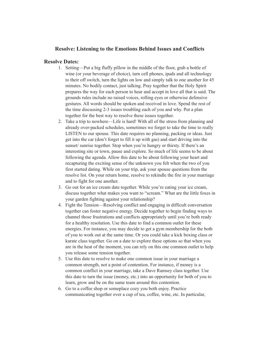# **Resolve: Listening to the Emotions Behind Issues and Conflicts**

#### **Resolve Dates:**

- 1. Setting—Put a big fluffy pillow in the middle of the floor, grab a bottle of wine (or your beverage of choice), turn cell phones, ipads and all technology to their off switch, turn the lights on low and simply talk to one another for 45 minutes. No bodily contact, just talking. Pray together that the Holy Spirit prepares the way for each person to hear and accept in love all that is said. The grounds rules include no raised voices, rolling eyes or otherwise defensive gestures. All words should be spoken and received in love. Spend the rest of the time discussing 2-3 issues troubling each of you and why. Put a plan together for the best way to resolve these issues together.
- 2. Take a trip to nowhere—Life is hard! With all of the stress from planning and already over-packed schedules, sometimes we forget to take the time to really LISTEN to our spouse. This date requires no planning, packing or ideas. Just get into the car (don't forget to fill it up with gas) and start driving into the sunset/ sunrise together. Stop when you're hungry or thirsty. If there's an interesting site or town, pause and explore. So much of life seems to be about following the agenda. Allow this date to be about following your heart and recapturing the exciting sense of the unknown you felt when the two of you first started dating. While on your trip, ask your spouse questions from the resolve list. On your return home, resolve to rekindle the fire in your marriage and to fight for one another.
- 3. Go out for an ice cream date together. While you're eating your ice cream, discuss together what makes you want to "scream." What are the little foxes in your garden fighting against your relationship?
- 4. Fight the Tension—Resolving conflict and engaging in difficult conversation together can foster negative energy. Decide together to begin finding ways to channel those frustrations and conflicts appropriately until you're both ready for a healthy resolution. Use this date to find a common outlet for these energies. For instance, you may decide to get a gym membership for the both of you to work out at the same time. Or you could take a kick boxing class or karate class together. Go on a date to explore these options so that when you are in the heat of the moment, you can rely on this one common outlet to help you release some tension together.
- 5. Use this date to resolve to make one common issue in your marriage a common strength, not a point of contention. For instance, if money is a common conflict in your marriage, take a Dave Ramsey class together. Use this date to turn the issue (money, etc.) into an opportunity for both of you to learn, grow and be on the same team around this contention.
- 6. Go to a coffee shop or someplace cozy you both enjoy. Practice communicating together over a cup of tea, coffee, wine, etc. In particular,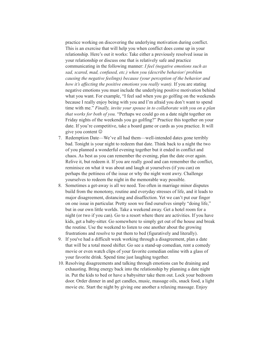practice working on discovering the underlying motivation during conflict. This is an exercise that will help you when conflict does come up in your relationship. Here's out it works: Take either a previously resolved issue in your relationship or discuss one that is relatively safe and practice communicating in the following manner: *I feel (negative emotions such as sad, scared, mad, confused, etc.) when you (describe behavior/ problem causing the negative feelings) because (your perception of the behavior and how it's affecting the positive emotions you really want).* If you are stating negative emotions you must include the underlying positive motivation behind what you want. For example, "I feel sad when you go golfing on the weekends because I really enjoy being with you and I'm afraid you don't want to spend time with me." *Finally, invite your spouse in to collaborate with you on a plan that works for both of you.* "Perhaps we could go on a date night together on Friday nights of the weekends you go golfing?" Practice this together on your date. If you're competitive, take a board game or cards as you practice. It will give you content

- 7. Redemption Date—We've all had them—well-intended dates gone terribly bad. Tonight is your night to redeem that date. Think back to a night the two of you planned a wonderful evening together but it ended in conflict and chaos. As best as you can remember the evening, plan the date over again. Relive it, but redeem it. If you are really good and can remember the conflict, reminisce on what it was about and laugh at yourselves (if you can) on perhaps the pettiness of the issue or why the night went awry. Challenge yourselves to redeem the night in the memorable way possible.
- 8. Sometimes a get-away is all we need. Too often in marriage minor disputes build from the monotony, routine and everyday stresses of life, and it leads to major disagreement, distancing and disaffection. Yet we can't put our finger on one issue in particular. Pretty soon we find ourselves simply "doing life," but in our own little worlds. Take a weekend away. Get a hotel room for a night (or two if you can). Go to a resort where there are activities. If you have kids, get a baby-sitter. Go somewhere to simply get out of the house and break the routine. Use the weekend to listen to one another about the growing frustrations and resolve to put them to bed (figuratively and literally).
- 9. If you've had a difficult week working through a disagreement, plan a date that will be a total mood shifter. Go see a stand-up comedian, rent a comedy movie or even watch clips of your favorite comedian online with a glass of your favorite drink. Spend time just laughing together.
- 10. Resolving disagreements and talking through emotions can be draining and exhausting. Bring energy back into the relationship by planning a date night in. Put the kids to bed or have a babysitter take them out. Lock your bedroom door. Order dinner in and get candles, music, massage oils, snack food, a light movie etc. Start the night by giving one another a relaxing massage. Enjoy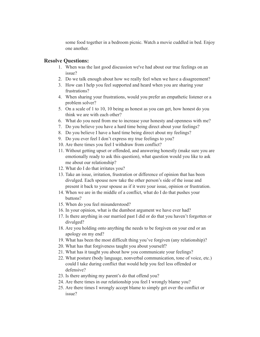some food together in a bedroom picnic. Watch a movie cuddled in bed. Enjoy one another.

## **Resolve Questions:**

- 1. When was the last good discussion we've had about our true feelings on an issue?
- 2. Do we talk enough about how we really feel when we have a disagreement?
- 3. How can I help you feel supported and heard when you are sharing your frustrations?
- 4. When sharing your frustrations, would you prefer an empathetic listener or a problem solver?
- 5. On a scale of 1 to 10, 10 being as honest as you can get, how honest do you think we are with each other?
- 6. What do you need from me to increase your honesty and openness with me?
- 7. Do you believe you have a hard time being direct about your feelings?
- 8. Do you believe I have a hard time being direct about my feelings?
- 9. Do you ever feel I don't express my true feelings to you?
- 10. Are there times you feel I withdraw from conflict?
- 11. Without getting upset or offended, and answering honestly (make sure you are emotionally ready to ask this question), what question would you like to ask me about our relationship?
- 12. What do I do that irritates you?
- 13. Take an issue, irritation, frustration or difference of opinion that has been divulged. Each spouse now take the other person's side of the issue and present it back to your spouse as if it were your issue, opinion or frustration.
- 14. When we are in the middle of a conflict, what do I do that pushes your buttons?
- 15. When do you feel misunderstood?
- 16. In your opinion, what is the dumbest argument we have ever had?
- 17. Is there anything in our married past I did or do that you haven't forgotten or divulged?
- 18. Are you holding onto anything the needs to be forgiven on your end or an apology on my end?
- 19. What has been the most difficult thing you've forgiven (any relationship)?
- 20. What has that forgiveness taught you about yourself?
- 21. What has it taught you about how you communicate your feelings?
- 22. What posture (body language, nonverbal communication, tone of voice, etc.) could I take during conflict that would help you feel less offended or defensive?
- 23. Is there anything my parent's do that offend you?
- 24. Are there times in our relationship you feel I wrongly blame you?
- 25. Are there times I wrongly accept blame to simply get over the conflict or issue?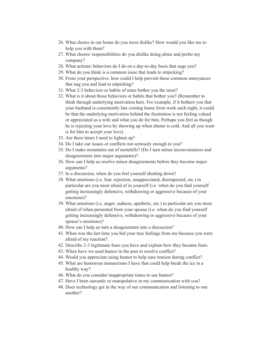- 26. What chores in our home do you most dislike? How would you like me to help you with them?
- 27. What chores/ responsibilities do you dislike doing alone and prefer my company?
- 28. What actions/ behaviors do I do on a day-to-day basis that nags you?
- 29. What do you think is a common issue that leads to nitpicking?
- 30. From your perspective, how could I help prevent these common annoyances that nag you and lead to nitpicking?
- 31. What 2-3 behaviors or habits of mine bother you the most?
- 32. What is it about those behaviors or habits that bother you? (Remember to think through underlying motivation here. For example, if it bothers you that your husband is consistently late coming home from work each night, it could be that the underlying motivation behind the frustration is not feeling valued or appreciated as a wife and what you do for him. Perhaps you feel as though he is rejecting your love by showing up when dinner is cold. And all you want is for him to accept your love).
- 33. Are there times I need to lighten up?
- 34. Do I take our issues or conflicts not seriously enough to you?
- 35. Do I make mountains out of molehills? (Do I turn minor inconveniences and disagreements into major arguments)?
- 36. How can I help us resolve minor disagreements before they become major arguments?
- 37. In a discussion, when do you feel yourself shutting down?
- 38. What emotions (i.e. fear, rejection, unappreciated, disrespected, etc.) in particular are you most afraid of in yourself (i.e. when do you find yourself getting increasingly defensive, withdrawing or aggressive because of your emotions)?
- 39. What emotions (i.e. anger, sadness, apathetic, etc.) in particular are you most afraid of when presented from your spouse (i.e. when do you find yourself getting increasingly defensive, withdrawing or aggressive because of your spouse's emotions)?
- 40. How can I help us turn a disagreement into a discussion?
- 41. When was the last time you hid your true feelings from me because you were afraid of my reaction?
- 42. Describe 2-3 legitimate fears you have and explain how they became fears.
- 43. When have we used humor in the past to resolve conflict?
- 44. Would you appreciate using humor to help ease tension during conflict?
- 45. What are humorous mannerisms I have that could help break the ice in a healthy way?
- 46. What do you consider inappropriate times to use humor?
- 47. Have I been sarcastic or manipulative in my communication with you?
- 48. Does technology get in the way of our communication and listening to one another?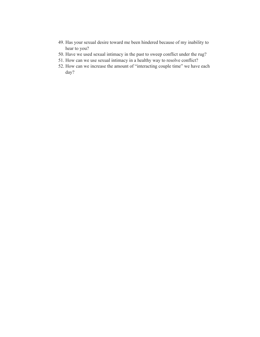- 49. Has your sexual desire toward me been hindered because of my inability to hear to you?
- 50. Have we used sexual intimacy in the past to sweep conflict under the rug?
- 51. How can we use sexual intimacy in a healthy way to resolve conflict?
- 52. How can we increase the amount of "interacting couple time" we have each day?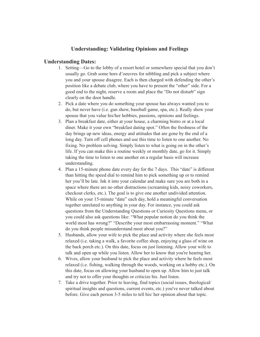# **Understanding: Validating Opinions and Feelings**

## **Understanding Dates:**

- 1. Setting—Go to the lobby of a resort hotel or somewhere special that you don't usually go. Grab some hors d'oeuvres for nibbling and pick a subject where you and your spouse disagree. Each is then charged with defending the other's position like a debate club, where you have to present the "other" side. For a good end to the night, reserve a room and place the "Do not disturb" sign clearly on the door handle.
- 2. Pick a date where you do something your spouse has always wanted you to do, but never have (i.e. gun show, baseball game, spa, etc.). Really show your spouse that you value his/her hobbies, passions, opinions and feelings.
- 3. Plan a breakfast date, either at your house, a charming bistro or at a local diner. Make it your own "breakfast dating spot." Often the freshness of the day brings up new ideas, energy and attitudes that are gone by the end of a long day. Turn off cell phones and use this time to listen to one another. No fixing. No problem solving. Simply listen to what is going on in the other's life. If you can make this a routine weekly or monthly date, go for it. Simply taking the time to listen to one another on a regular basis will increase understanding.
- 4. Plan a 15-minute phone date every day for the 7 days. This "date" is different than hitting the speed dial to remind him to pick something up or to remind her you'll be late. Ink it into your calendar and make sure you are both in a space where there are no other distractions (screaming kids, noisy coworkers, checkout clerks, etc.). The goal is to give one another undivided attention. While on your 15-minute "date" each day, hold a meaningful conversation together unrelated to anything in your day. For instance, you could ask questions from the Understanding Questions or Curiosity Questions menu, or you could also ask questions like: "What popular notion do you think the world most has wrong?" "Describe your most embarrassing moment." "What do you think people misunderstand most about you?"
- 5. Husbands, allow your wife to pick the place and activity where she feels most relaxed (i.e. taking a walk, a favorite coffee shop, enjoying a glass of wine on the back porch etc.). On this date, focus on just listening. Allow your wife to talk and open up while you listen. Allow her to know that you're hearing her.
- 6. Wives, allow your husband to pick the place and activity where he feels most relaxed (i.e. fishing, walking through the woods, working on a hobby etc.). On this date, focus on allowing your husband to open up. Allow him to just talk and try not to offer your thoughts or criticize his. Just listen.
- 7. Take a drive together. Prior to leaving, find topics (social issues, theological/ spiritual insights and questions, current events, etc.) you've never talked about before. Give each person 3-5 miles to tell his/ her opinion about that topic.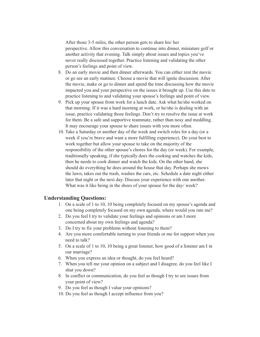After those 3-5 miles, the other person gets to share his/ her perspective. Allow this conversation to continue into dinner, miniature golf or another activity that evening. Talk simply about issues and topics you've never really discussed together. Practice listening and validating the other person's feelings and point of view.

- 8. Do an early movie and then dinner afterwards. You can either rent the movie or go see an early matinee. Choose a movie that will ignite discussion. After the movie, make or go to dinner and spend the time discussing how the movie impacted you and your perspective on the issues it brought up. Use this date to practice listening to and validating your spouse's feelings and point of view.
- 9. Pick up your spouse from work for a lunch date. Ask what he/she worked on that morning. If it was a hard morning at work, or he/she is dealing with an issue, practice validating those feelings. Don't try to resolve the issue at work for them. Be a safe and supportive teammate, rather than nosy and meddling. It may encourage your spouse to share issues with you more often.
- 10. Take a Saturday or another day of the week and switch roles for a day (or a week if you're brave and want a more fulfilling experience). Do your best to work together but allow your spouse to take on the majority of the responsibility of the other spouse's chores for the day (or week). For example, traditionally speaking, if she typically does the cooking and watches the kids, then he needs to cook dinner and watch the kids. On the other hand, she should do everything he does around the house that day. Perhaps she mows the lawn, takes out the trash, washes the cars, etc. Schedule a date night either later that night or the next day. Discuss your experience with one another. What was it like being in the shoes of your spouse for the day/ week?

#### **Understanding Questions:**

- 1. On a scale of 1 to 10, 10 being completely focused on my spouse's agenda and one being completely focused on my own agenda, where would you rate me?
- 2. Do you feel I try to validate your feelings and opinions or am I more concerned about my own feelings and agenda?
- 3. Do I try to fix your problems without listening to them?
- 4. Are you more comfortable turning to your friends or me for support when you need to talk?
- 5. On a scale of 1 to 10, 10 being a great listener, how good of a listener am I in our marriage?
- 6. When you express an idea or thought, do you feel heard?
- 7. When you tell me your opinion on a subject and I disagree, do you feel like I shut you down?
- 8. In conflict or communication, do you feel as though I try to see issues from your point of view?
- 9. Do you feel as though I value your opinions?
- 10. Do you feel as though I accept influence from you?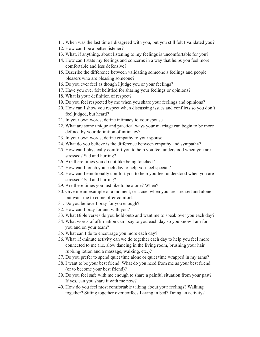- 11. When was the last time I disagreed with you, but you still felt I validated you?
- 12. How can I be a better listener?
- 13. What, if anything, about listening to my feelings is uncomfortable for you?
- 14. How can I state my feelings and concerns in a way that helps you feel more comfortable and less defensive?
- 15. Describe the difference between validating someone's feelings and people pleasers who are pleasing someone?
- 16. Do you ever feel as though I judge you or your feelings?
- 17. Have you ever felt belittled for sharing your feelings or opinions?
- 18. What is your definition of respect?
- 19. Do you feel respected by me when you share your feelings and opinions?
- 20. How can I show you respect when discussing issues and conflicts so you don't feel judged, but heard?
- 21. In your own words, define intimacy to your spouse.
- 22. What are some unique and practical ways your marriage can begin to be more defined by your definition of intimacy?
- 23. In your own words, define empathy to your spouse.
- 24. What do you believe is the difference between empathy and sympathy?
- 25. How can I physically comfort you to help you feel understood when you are stressed? Sad and hurting?
- 26. Are there times you do not like being touched?
- 27. How can I touch you each day to help you feel special?
- 28. How can I emotionally comfort you to help you feel understood when you are stressed? Sad and hurting?
- 29. Are there times you just like to be alone? When?
- 30. Give me an example of a moment, or a cue, when you are stressed and alone but want me to come offer comfort.
- 31. Do you believe I pray for you enough?
- 32. How can I pray for and with you?
- 33. What Bible verses do you hold onto and want me to speak over you each day?
- 34. What words of affirmation can I say to you each day so you know I am for you and on your team?
- 35. What can I do to encourage you more each day?
- 36. What 15-minute activity can we do together each day to help you feel more connected to me (i.e. slow dancing in the living room, brushing your hair, rubbing lotion and a massage, walking, etc.)?
- 37. Do you prefer to spend quiet time alone or quiet time wrapped in my arms?
- 38. I want to be your best friend. What do you need from me as your best friend (or to become your best friend)?
- 39. Do you feel safe with me enough to share a painful situation from your past? If yes, can you share it with me now?
- 40. How do you feel most comfortable talking about your feelings? Walking together? Sitting together over coffee? Laying in bed? Doing an activity?